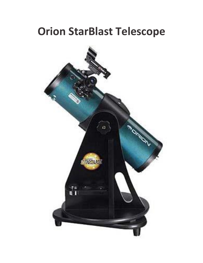### **Orion StarBlast Telescope**

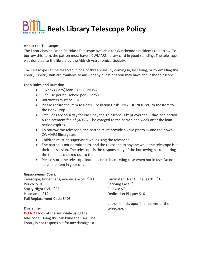## **Beals Library Telescope Policy**

### **About the Telescope**

The library has an Orion StarBlast Telescope available for Winchendon residents to borrow. To borrow this item, the patron must have a CWMARS library card in good standing. The telescope was donated to the library by the Aldrich Astronomical Society.

The Telescope can be reserved in one of three ways: by coming in, by calling, or by emailing the library. Library staff are available to answer any questions you may have about the telescope.

#### **Loan Rules and Duration**

- $\bullet$  1 week (7 day) loan NO RENEWAL.
- One use per household per 30 days.
- Borrowers must be 18+.
- Please return the item to Beals Circulation Desk ONLY. **DO NOT** return the item to the Book Drop.
- Late Fees are \$5 a day for each day the Telescope is kept over the 7-day loan period. A replacement fee of \$405 will be charged to the patron one week after the loan period expires.
- To borrow the telescope, the patron must provide a valid photo ID and their own CWMARS library card.
- Children must be supervised while using the telescope.
- The patron is not permitted to lend the telescope to anyone while the telescope is in their possession. The telescope is the responsibility of the borrowing patron during the time it is checked out to them.
- Please store the telescope indoors and in its carrying case when not in use. Do not leave the item in your car.

### *Replacement Costs:*

Telescope, finder, lens, eyepiece & SH: \$300 Laminated User Guide (each): \$16 Pouch: \$10 Starry Night DVD: \$25 Headlamp: \$17 **Full Replacement Cost: \$405**

### **Disclaimer**

**DO NOT** look at the sun while using the telescope. Doing this can blind the user. The library is not responsible for any damages a

Carrying Case: \$8 Pillows: \$7 Dedication Plaque: \$10

patron inflicts upon themselves or the telescope.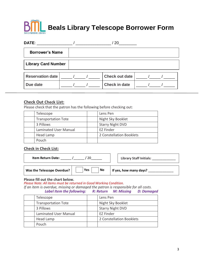# **Beals Library Telescope Borrower Form**

| DATE:                      |  | 20                    |  |
|----------------------------|--|-----------------------|--|
| <b>Borrower's Name</b>     |  |                       |  |
| <b>Library Card Number</b> |  |                       |  |
| <b>Reservation date</b>    |  | <b>Check out date</b> |  |
| Due date                   |  | <b>Check in date</b>  |  |

### **Check Out Check List:**

Please check that the patron has the following before checking out:

| Telescope                  |                              | Lens Pen                 |
|----------------------------|------------------------------|--------------------------|
| <b>Transportation Tote</b> |                              | Night Sky Booklet        |
| 3 Pillows                  |                              | <b>Starry Night DVD</b>  |
|                            | <b>Laminated User Manual</b> | <b>EZ Finder</b>         |
| Head Lamp                  |                              | 2 Constellation Booklets |
| Pouch                      |                              |                          |

### **Check in Check List:**

| <b>Item Return Date:</b>   |                  | <b>Library Staff Initials:</b> |  |
|----------------------------|------------------|--------------------------------|--|
| Was the Telescope Overdue? | <b>Yes</b><br>No | If yes, how many days?         |  |

### **Please fill out the chart below.**

*Please Note: All items must be returned in Good Working Condition.* 

*If an item is overdue, missing or damaged the patron is responsible for all costs. Label Item the following: R: Return M: Missing D: Damaged*

| Telescope                  | Lens Pen                 |
|----------------------------|--------------------------|
| <b>Transportation Tote</b> | Night Sky Booklet        |
| 3 Pillows                  | <b>Starry Night DVD</b>  |
| Laminated User Manual      | EZ Finder                |
| Head Lamp                  | 2 Constellation Booklets |
| Pouch                      |                          |